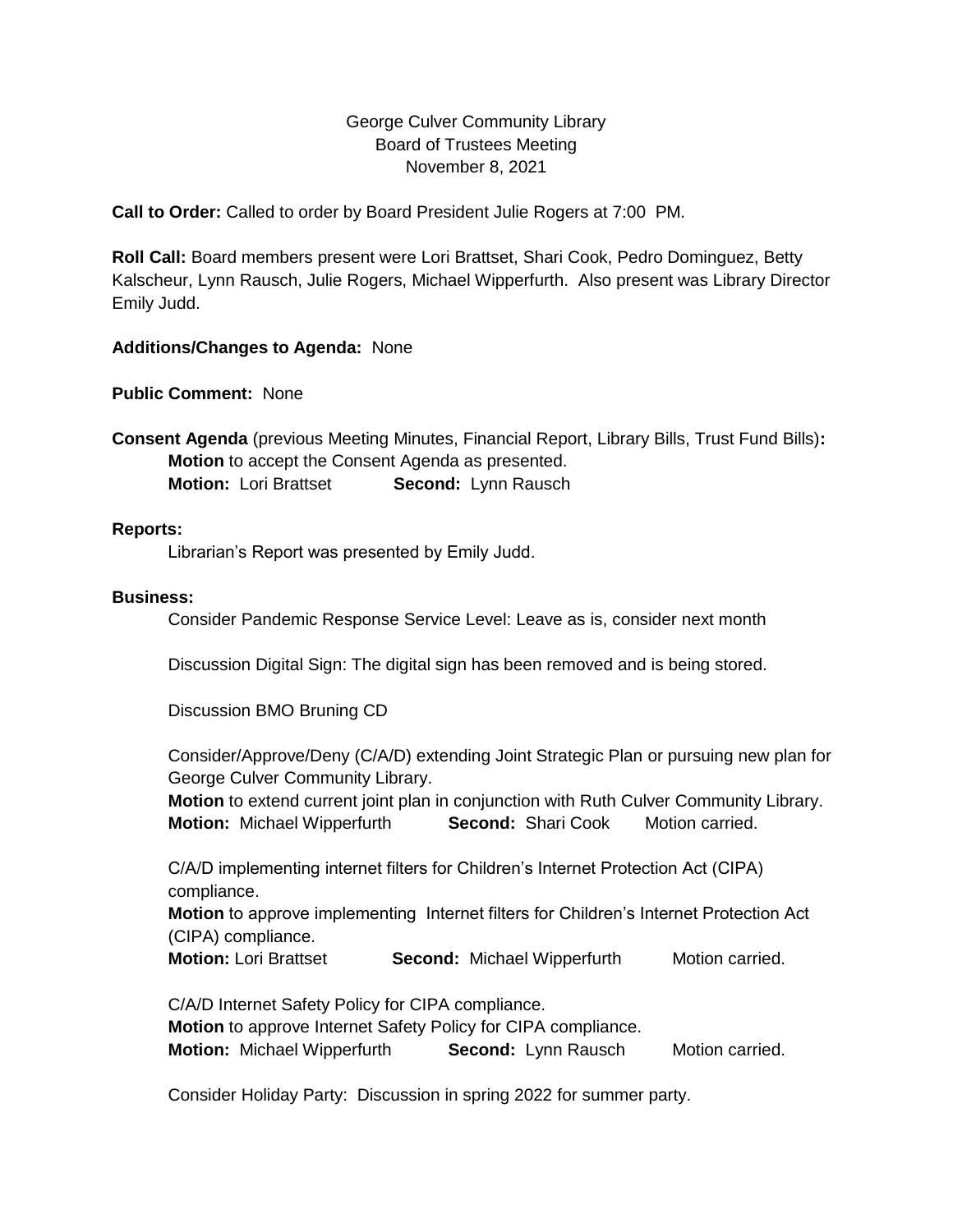# George Culver Community Library Board of Trustees Meeting November 8, 2021

**Call to Order:** Called to order by Board President Julie Rogers at 7:00 PM.

**Roll Call:** Board members present were Lori Brattset, Shari Cook, Pedro Dominguez, Betty Kalscheur, Lynn Rausch, Julie Rogers, Michael Wipperfurth. Also present was Library Director Emily Judd.

### **Additions/Changes to Agenda:** None

**Public Comment:** None

**Consent Agenda** (previous Meeting Minutes, Financial Report, Library Bills, Trust Fund Bills)**: Motion** to accept the Consent Agenda as presented. **Motion:** Lori Brattset **Second:** Lynn Rausch

#### **Reports:**

Librarian's Report was presented by Emily Judd.

#### **Business:**

Consider Pandemic Response Service Level: Leave as is, consider next month

Discussion Digital Sign: The digital sign has been removed and is being stored.

Discussion BMO Bruning CD

Consider/Approve/Deny (C/A/D) extending Joint Strategic Plan or pursuing new plan for George Culver Community Library.

**Motion** to extend current joint plan in conjunction with Ruth Culver Community Library. **Motion:** Michael Wipperfurth **Second:** Shari Cook Motion carried.

C/A/D implementing internet filters for Children's Internet Protection Act (CIPA) compliance.

**Motion** to approve implementing Internet filters for Children's Internet Protection Act (CIPA) compliance.

**Motion:** Lori Brattset **Second:** Michael Wipperfurth Motion carried.

C/A/D Internet Safety Policy for CIPA compliance.

**Motion** to approve Internet Safety Policy for CIPA compliance.

**Motion:** Michael Wipperfurth **Second:** Lynn Rausch Motion carried.

Consider Holiday Party: Discussion in spring 2022 for summer party.